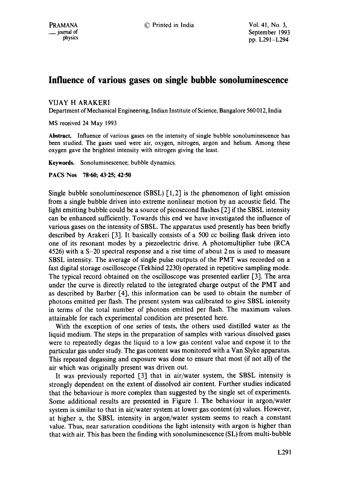# **Influence of various gases on single bubble sonoluminescence**

### VIJAY H ARAKERI

Department of Mechanical Engineering, Indian Institute of Science, Bangalore 560 012, India

MS received 24 May 1993

Abstract. Influence of various gases on the intensity of single bubble sonoluminescence has been studied. The gases used were air, oxygen, nitrogen, argon and helium. Among these oxygen gave the brightest intensity with nitrogen giving the least.

**Keywords.** Sonoluminescence; bubble dynamics

#### PACS Nos 78.60; 43.25; 42.50

Single bubble sonoluminescence (SBSL)  $[1, 2]$  is the phenomenon of light emission from a single bubble driven into extreme nonlinear motion by an acoustic field. The light emitting bubble could be a source of picosecond flashes [2] if the SBSL intensity can be enhanced sutficiently. Towards this end we have investigated the influence of various gases on the intensity of SBSL. The apparatus used presently has been briefly described by Arakeri [3]. It basically consists of a 500 cc boiling flask driven into one of its resonant modes by a piezoelectric drive. A photomultiplier tube (RCA 4526) with a S-20 spectral response and a rise time of about 2 ns is used to measure SBSL intensity. The average of single pulse outputs of the PMT was recorded on a fast digital storage oscilloscope (Tekhind 2230) operated in repetitive sampling mode. The typical record obtained on the oscilloscope was presented earlier [3]. The area under the curve is directly related to the integrated charge output of the PMT and as described by Barber [4], this information can be used to obtain the number of photons emitted per flash. The present system was calibrated to give SBSL intensity in terms of the total number of photons emitted per flash. The maximum values attainable for each experimental condition are presented here.

With the exception of one series of tests, the others used distilled water as the liquid medium. The steps in the preparation of samples with various dissolved gases were to repeatedly degas the liquid to a low gas content value and expose it to the particular gas under study. The gas content was monitored with a Van Slyke apparatus. This repeated degassing and exposure was done to ensure that most (if not all) of the air which was originally present was driven out.

It was previously reported [3] that in air/water system, the SBSL intensity is strongly dependent on the extent of dissolved air content. Further studies indicated that the behaviour is more complex than suggested by the single set of experiments. Some additional results are presented in Figure 1. The behaviour in argon/water system is similar to that in air/water system at lower gas content  $(\alpha)$  values. However, at higher  $\alpha$ , the SBSL intensity in argon/water system seems to reach a constant value. Thus, near saturation conditions the light intensity with argon is higher than that with air. This has been the finding with sonoluminescence (SL) from multi-bubble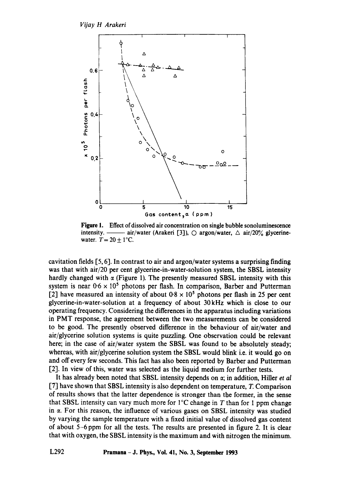*Vijay H Arakeri* 



Figure 1. Effect of dissolved air concentration on single bubble sonoluminescence intensity.  $\frac{1}{\sqrt{20}}$  air/water (Arakeri [3]),  $\circ$  argon/water,  $\triangle$  air/20% glycerinewater.  $T = 20 \pm 1$ °C.

cavitation fields [5, 6]. In contrast to air and argon/water systems a surprising finding was that with air/20 per cent glycerine-in-water-solution system, the SBSL intensity hardly changed with  $\alpha$  (Figure 1). The presently measured SBSL intensity with this system is near  $0.6 \times 10^5$  photons per flash. In comparison, Barber and Putterman [2] have measured an intensity of about  $0.8 \times 10^5$  photons per flash in 25 per cent glycerine-in-water-solution at a frequency of about 30 kHz which is close to our operating frequency. Considering the differences in the apparatus including variations in PMT response, the agreement between the two measurements can be considered to be good. The presently observed difference in the behaviour of air/water and air/glycerine solution systems is quite puzzling. One observation could be relevant here; in the case of air/water system the SBSL was found to be absolutely steady; whereas, with air/glycerine solution system the SBSL would blink i.e. it would go on and off every few seconds. This fact has also been reported by Barber and Putterman [2]. In view of this, water was selected as the liquid medium for further tests.

It has already been noted that SBSL intensity depends on  $\alpha$ ; in addition, Hiller *et al*  $[7]$  have shown that SBSL intensity is also dependent on temperature, T. Comparison of results shows that the latter dependence is stronger than the former, in the sense that SBSL intensity can vary much more for  $1^{\circ}$ C change in T than for 1 ppm change in  $\alpha$ . For this reason, the influence of various gases on SBSL intensity was studied by varying the sample temperature with a fixed initial value of dissolved gas content of about 5-6 ppm for all the tests. The results are presented in figure 2. It is clear that with oxygen, the SBSL intensity is the maximum and with nitrogen the minimum.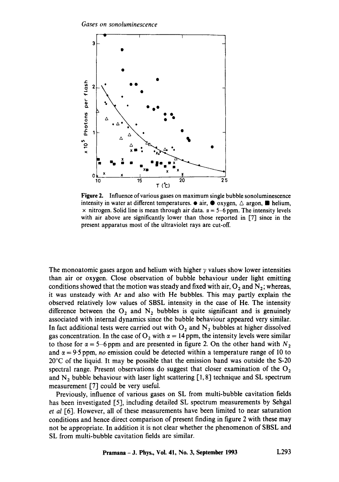*Gases on sonoluminescence* 



Figure 2. Influence of various gases on maximum single bubble sonoluminescence intensity in water at different temperatures.  $\bullet$  air,  $\bullet$  oxygen,  $\triangle$  argon,  $\blacksquare$  helium,  $\times$  nitrogen. Solid line is mean through air data.  $\alpha = 5$ –6 ppm. The intensity levels with air above are significantly lower than those reported in [7] since in the present apparatus most of the ultraviolet rays are cut-off.

The monoatomic gases argon and helium with higher  $\gamma$  values show lower intensities than air or oxygen. Close observation of bubble behaviour under light emitting conditions showed that the motion was steady and fixed with air,  $O_2$  and  $N_2$ ; whereas, it was unsteady with Ar and also with He bubbles. This may partly explain the observed relatively low values of SBSL intensity in the case of He. The intensity difference between the  $O_2$  and  $N_2$  bubbles is quite significant and is genuinely associated with internal dynamics since the bubble behaviour appeared very similar. In fact additional tests were carried out with  $O_2$  and  $N_2$  bubbles at higher dissolved gas concentration. In the case of  $O_2$  with  $\alpha = 14$  ppm, the intensity levels were similar to those for  $\alpha = 5$ -6 ppm and are presented in figure 2. On the other hand with N<sub>2</sub> and  $\alpha = 9.5$  ppm, *no* emission could be detected within a temperature range of 10 to 20°C of the liquid. It may be possible that the emission band was outside the S-20 spectral range. Present observations do suggest that closer examination of the  $O<sub>2</sub>$ and  $N_2$  bubble behaviour with laser light scattering [1, 8] technique and SL spectrum measurement [7] could be very useful.

Previously, influence of various gases on SL from multi-bubble cavitation fields has been investigated [5], including detailed SL spectrum measurements by Sehgal *et al* [6]. However, all of these measurements have been limited to near saturation conditions and hence direct comparison of present finding in figure 2 with these may not be appropriate. In addition it is not clear whether the phenomenon of SBSL and SL from multi-bubble cavitation fields are similar.